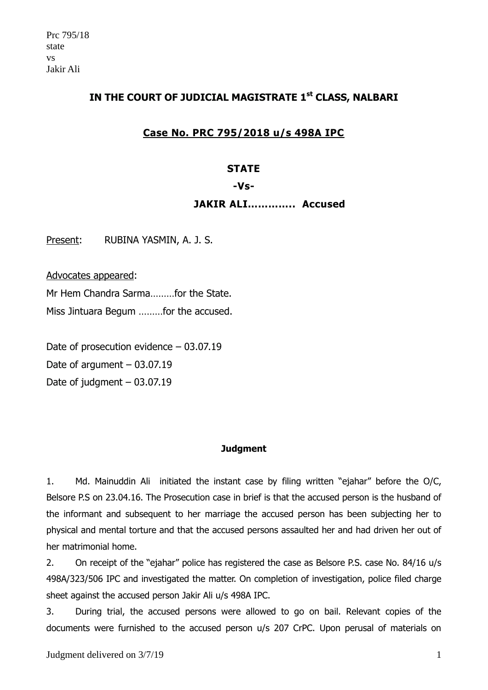# **IN THE COURT OF JUDICIAL MAGISTRATE 1st CLASS, NALBARI**

# **Case No. PRC 795/2018 u/s 498A IPC**

#### **STATE**

#### **-Vs-**

#### **JAKIR ALI………….. Accused**

Present: RUBINA YASMIN, A. J. S.

Advocates appeared:

Mr Hem Chandra Sarma………for the State. Miss Jintuara Begum ………for the accused.

Date of prosecution evidence – 03.07.19 Date of argument  $-03.07.19$ Date of judgment – 03.07.19

#### **Judgment**

1. Md. Mainuddin Ali initiated the instant case by filing written "ejahar" before the O/C, Belsore P.S on 23.04.16. The Prosecution case in brief is that the accused person is the husband of the informant and subsequent to her marriage the accused person has been subjecting her to physical and mental torture and that the accused persons assaulted her and had driven her out of her matrimonial home.

2. On receipt of the "ejahar" police has registered the case as Belsore P.S. case No. 84/16 u/s 498A/323/506 IPC and investigated the matter. On completion of investigation, police filed charge sheet against the accused person Jakir Ali u/s 498A IPC.

3. During trial, the accused persons were allowed to go on bail. Relevant copies of the documents were furnished to the accused person u/s 207 CrPC. Upon perusal of materials on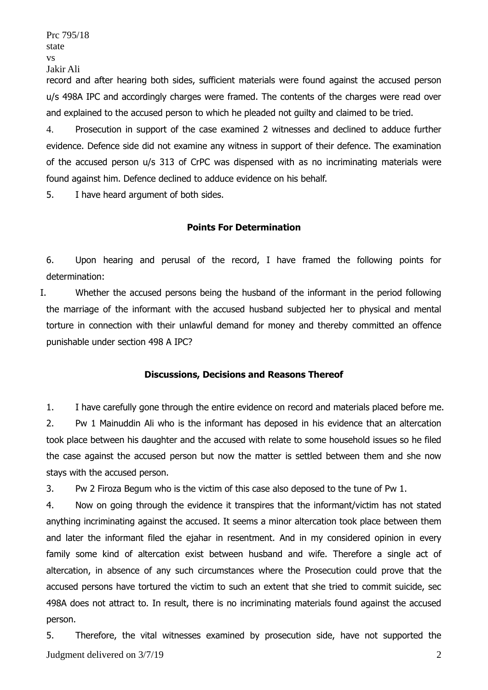Prc 795/18 state vs Jakir Ali

record and after hearing both sides, sufficient materials were found against the accused person u/s 498A IPC and accordingly charges were framed. The contents of the charges were read over and explained to the accused person to which he pleaded not guilty and claimed to be tried.

4. Prosecution in support of the case examined 2 witnesses and declined to adduce further evidence. Defence side did not examine any witness in support of their defence. The examination of the accused person u/s 313 of CrPC was dispensed with as no incriminating materials were found against him. Defence declined to adduce evidence on his behalf.

5. I have heard argument of both sides.

## **Points For Determination**

6. Upon hearing and perusal of the record, I have framed the following points for determination:

I. Whether the accused persons being the husband of the informant in the period following the marriage of the informant with the accused husband subjected her to physical and mental torture in connection with their unlawful demand for money and thereby committed an offence punishable under section 498 A IPC?

## **Discussions, Decisions and Reasons Thereof**

1. I have carefully gone through the entire evidence on record and materials placed before me. 2. Pw 1 Mainuddin Ali who is the informant has deposed in his evidence that an altercation took place between his daughter and the accused with relate to some household issues so he filed the case against the accused person but now the matter is settled between them and she now stays with the accused person.

3. Pw 2 Firoza Begum who is the victim of this case also deposed to the tune of Pw 1.

4. Now on going through the evidence it transpires that the informant/victim has not stated anything incriminating against the accused. It seems a minor altercation took place between them and later the informant filed the ejahar in resentment. And in my considered opinion in every family some kind of altercation exist between husband and wife. Therefore a single act of altercation, in absence of any such circumstances where the Prosecution could prove that the accused persons have tortured the victim to such an extent that she tried to commit suicide, sec 498A does not attract to. In result, there is no incriminating materials found against the accused person.

Judgment delivered on  $3/7/19$  2 5. Therefore, the vital witnesses examined by prosecution side, have not supported the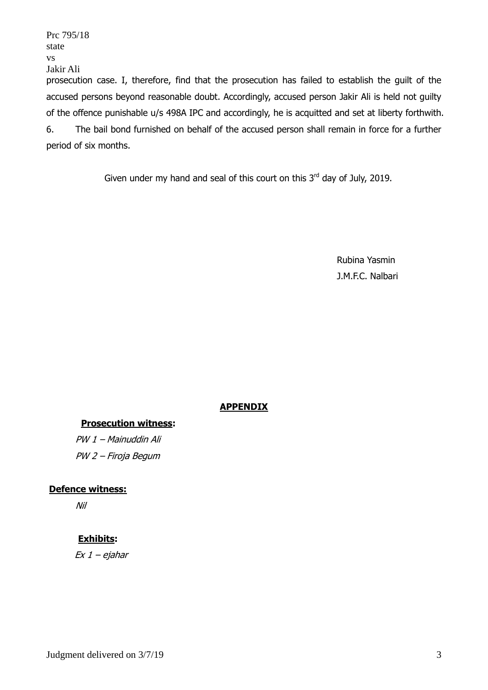state vs Jakir Ali prosecution case. I, therefore, find that the prosecution has failed to establish the guilt of the accused persons beyond reasonable doubt. Accordingly, accused person Jakir Ali is held not guilty of the offence punishable u/s 498A IPC and accordingly, he is acquitted and set at liberty forthwith. 6. The bail bond furnished on behalf of the accused person shall remain in force for a further period of six months.

Given under my hand and seal of this court on this  $3<sup>rd</sup>$  day of July, 2019.

Rubina Yasmin J.M.F.C. Nalbari

# **APPENDIX**

## **Prosecution witness:**

PW 1 – Mainuddin Ali PW 2 – Firoja Begum

## **Defence witness:**

Nil

Prc 795/18

## **Exhibits:**

Ex 1 – ejahar